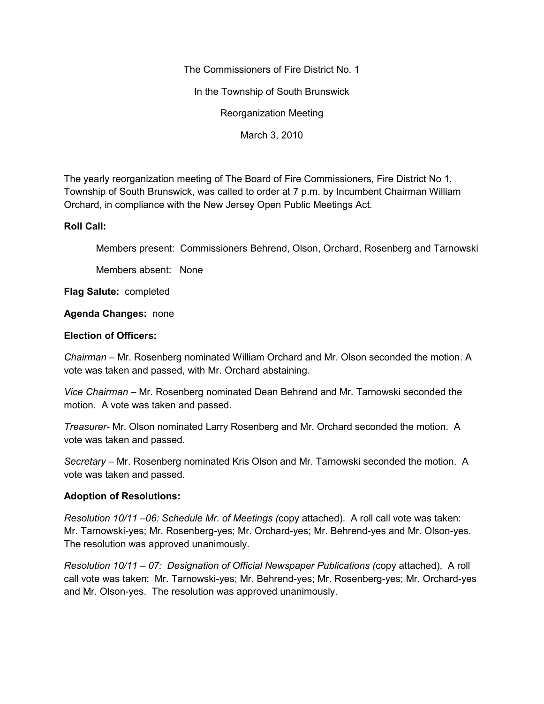The Commissioners of Fire District No. 1

In the Township of South Brunswick

Reorganization Meeting

March 3, 2010

The yearly reorganization meeting of The Board of Fire Commissioners, Fire District No 1, Township of South Brunswick, was called to order at 7 p.m. by Incumbent Chairman William Orchard, in compliance with the New Jersey Open Public Meetings Act.

## **Roll Call:**

Members present: Commissioners Behrend, Olson, Orchard, Rosenberg and Tarnowski

Members absent: None

**Flag Salute:** completed

## **Agenda Changes:** none

## **Election of Officers:**

*Chairman –* Mr. Rosenberg nominated William Orchard and Mr. Olson seconded the motion. A vote was taken and passed, with Mr. Orchard abstaining.

*Vice Chairman –* Mr. Rosenberg nominated Dean Behrend and Mr. Tarnowski seconded the motion. A vote was taken and passed.

*Treasurer-* Mr. Olson nominated Larry Rosenberg and Mr. Orchard seconded the motion. A vote was taken and passed.

*Secretary –* Mr. Rosenberg nominated Kris Olson and Mr. Tarnowski seconded the motion. A vote was taken and passed.

## **Adoption of Resolutions:**

*Resolution 10/11 –06: Schedule Mr. of Meetings (*copy attached). A roll call vote was taken: Mr. Tarnowski-yes; Mr. Rosenberg-yes; Mr. Orchard-yes; Mr. Behrend-yes and Mr. Olson-yes. The resolution was approved unanimously.

*Resolution 10/11 – 07: Designation of Official Newspaper Publications (*copy attached). A roll call vote was taken: Mr. Tarnowski-yes; Mr. Behrend-yes; Mr. Rosenberg-yes; Mr. Orchard-yes and Mr. Olson-yes. The resolution was approved unanimously.